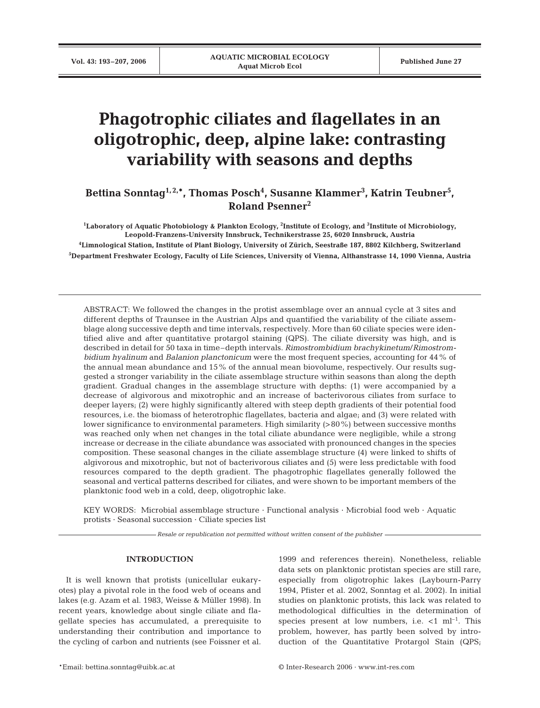# **Phagotrophic ciliates and flagellates in an oligotrophic, deep, alpine lake: contrasting variability with seasons and depths**

Bettina Sonntag<sup>1,2,</sup>\*, Thomas Posch<sup>4</sup>, Susanne Klammer<sup>3</sup>, Katrin Teubner<sup>5</sup>, **Roland Psenner2**

 **Laboratory of Aquatic Photobiology & Plankton Ecology, 2 Institute of Ecology, and 3 Institute of Microbiology, Leopold-Franzens-University Innsbruck, Technikerstrasse 25, 6020 Innsbruck, Austria Limnological Station, Institute of Plant Biology, University of Zürich, Seestraße 187, 8802 Kilchberg, Switzerland Department Freshwater Ecology, Faculty of Life Sciences, University of Vienna, Althanstrasse 14, 1090 Vienna, Austria**

ABSTRACT: We followed the changes in the protist assemblage over an annual cycle at 3 sites and different depths of Traunsee in the Austrian Alps and quantified the variability of the ciliate assemblage along successive depth and time intervals, respectively. More than 60 ciliate species were identified alive and after quantitative protargol staining (QPS). The ciliate diversity was high, and is described in detail for 50 taxa in time–depth intervals. *Rimostrombidium brachykinetum*/*Rimostrombidium hyalinum* and *Balanion planctonicum* were the most frequent species, accounting for 44% of the annual mean abundance and 15% of the annual mean biovolume, respectively. Our results suggested a stronger variability in the ciliate assemblage structure within seasons than along the depth gradient. Gradual changes in the assemblage structure with depths: (1) were accompanied by a decrease of algivorous and mixotrophic and an increase of bacterivorous ciliates from surface to deeper layers; (2) were highly significantly altered with steep depth gradients of their potential food resources, i.e. the biomass of heterotrophic flagellates, bacteria and algae; and (3) were related with lower significance to environmental parameters. High similarity (>80%) between successive months was reached only when net changes in the total ciliate abundance were negligible, while a strong increase or decrease in the ciliate abundance was associated with pronounced changes in the species composition. These seasonal changes in the ciliate assemblage structure (4) were linked to shifts of algivorous and mixotrophic, but not of bacterivorous ciliates and (5) were less predictable with food resources compared to the depth gradient. The phagotrophic flagellates generally followed the seasonal and vertical patterns described for ciliates, and were shown to be important members of the planktonic food web in a cold, deep, oligotrophic lake.

KEY WORDS: Microbial assemblage structure · Functional analysis · Microbial food web · Aquatic protists · Seasonal succession · Ciliate species list

*Resale or republication not permitted without written consent of the publisher*

## **INTRODUCTION**

It is well known that protists (unicellular eukaryotes) play a pivotal role in the food web of oceans and lakes (e.g. Azam et al. 1983, Weisse & Müller 1998). In recent years, knowledge about single ciliate and flagellate species has accumulated, a prerequisite to understanding their contribution and importance to the cycling of carbon and nutrients (see Foissner et al. 1999 and references therein). Nonetheless, reliable data sets on planktonic protistan species are still rare, especially from oligotrophic lakes (Laybourn-Parry 1994, Pfister et al. 2002, Sonntag et al. 2002). In initial studies on planktonic protists, this lack was related to methodological difficulties in the determination of species present at low numbers, i.e.  $\lt 1$  ml<sup>-1</sup>. This problem, however, has partly been solved by introduction of the Quantitative Protargol Stain (QPS;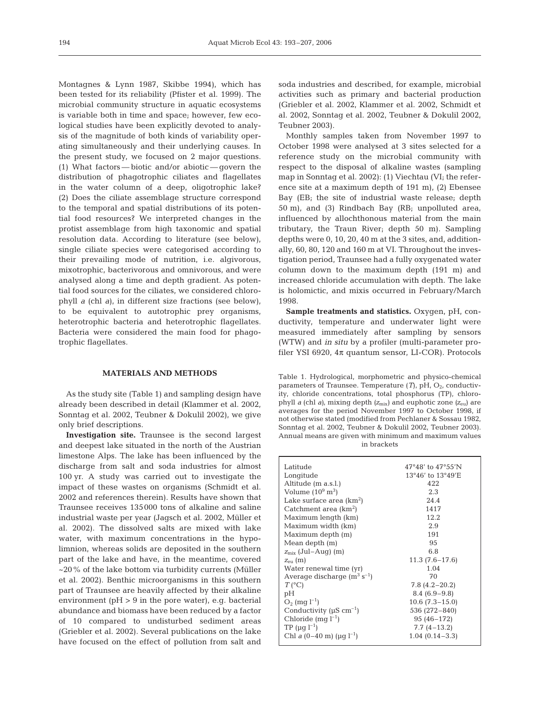Montagnes & Lynn 1987, Skibbe 1994), which has been tested for its reliability (Pfister et al. 1999). The microbial community structure in aquatic ecosystems is variable both in time and space; however, few ecological studies have been explicitly devoted to analysis of the magnitude of both kinds of variability operating simultaneously and their underlying causes. In the present study, we focused on 2 major questions. (1) What factors — biotic and/or abiotic — govern the distribution of phagotrophic ciliates and flagellates in the water column of a deep, oligotrophic lake? (2) Does the ciliate assemblage structure correspond to the temporal and spatial distributions of its potential food resources? We interpreted changes in the protist assemblage from high taxonomic and spatial resolution data. According to literature (see below), single ciliate species were categorised according to their prevailing mode of nutrition, i.e. algivorous, mixotrophic, bacterivorous and omnivorous, and were analysed along a time and depth gradient. As potential food sources for the ciliates, we considered chlorophyll *a* (chl *a*), in different size fractions (see below), to be equivalent to autotrophic prey organisms, heterotrophic bacteria and heterotrophic flagellates. Bacteria were considered the main food for phagotrophic flagellates.

#### **MATERIALS AND METHODS**

As the study site (Table 1) and sampling design have already been described in detail (Klammer et al. 2002, Sonntag et al. 2002, Teubner & Dokulil 2002), we give only brief descriptions.

**Investigation site.** Traunsee is the second largest and deepest lake situated in the north of the Austrian limestone Alps. The lake has been influenced by the discharge from salt and soda industries for almost 100 yr. A study was carried out to investigate the impact of these wastes on organisms (Schmidt et al. 2002 and references therein). Results have shown that Traunsee receives 135000 tons of alkaline and saline industrial waste per year (Jagsch et al. 2002, Müller et al. 2002). The dissolved salts are mixed with lake water, with maximum concentrations in the hypolimnion, whereas solids are deposited in the southern part of the lake and have, in the meantime, covered ~20% of the lake bottom via turbidity currents (Müller et al. 2002). Benthic microorganisms in this southern part of Traunsee are heavily affected by their alkaline environment ( $pH > 9$  in the pore water), e.g. bacterial abundance and biomass have been reduced by a factor of 10 compared to undisturbed sediment areas (Griebler et al. 2002). Several publications on the lake have focused on the effect of pollution from salt and

soda industries and described, for example, microbial activities such as primary and bacterial production (Griebler et al. 2002, Klammer et al. 2002, Schmidt et al. 2002, Sonntag et al. 2002, Teubner & Dokulil 2002, Teubner 2003).

Monthly samples taken from November 1997 to October 1998 were analysed at 3 sites selected for a reference study on the microbial community with respect to the disposal of alkaline wastes (sampling map in Sonntag et al. 2002): (1) Viechtau (VI; the reference site at a maximum depth of 191 m), (2) Ebensee Bay (EB; the site of industrial waste release; depth 50 m), and (3) Rindbach Bay (RB; unpolluted area, influenced by allochthonous material from the main tributary, the Traun River; depth 50 m). Sampling depths were 0, 10, 20, 40 m at the 3 sites, and, additionally, 60, 80, 120 and 160 m at VI. Throughout the investigation period, Traunsee had a fully oxygenated water column down to the maximum depth (191 m) and increased chloride accumulation with depth. The lake is holomictic, and mixis occurred in February/March 1998.

**Sample treatments and statistics.** Oxygen, pH, conductivity, temperature and underwater light were measured immediately after sampling by sensors (WTW) and *in situ* by a profiler (multi-parameter profiler YSI 6920, 4π quantum sensor, LI-COR). Protocols

Table 1. Hydrological, morphometric and physico-chemical parameters of Traunsee. Temperature  $(T)$ , pH,  $O<sub>2</sub>$ , conductivity, chloride concentrations, total phosphorus (TP), chlorophyll *a* (chl *a)*, mixing depth *(z*mix) and euphotic zone *(z*eu) are averages for the period November 1997 to October 1998, if not otherwise stated (modified from Pechlaner & Sossau 1982, Sonntag et al. 2002, Teubner & Dokulil 2002, Teubner 2003). Annual means are given with minimum and maximum values in brackets

| Latitude                                    | $47^{\circ}48'$ to $47^{\circ}55'$ N |
|---------------------------------------------|--------------------------------------|
| Longitude                                   | 13°46' to 13°49'E                    |
| Altitude (m a.s.l.)                         | 422                                  |
| Volume $(10^9 \text{ m}^3)$                 | 2.3                                  |
| Lake surface area (km <sup>2</sup> )        | 24.4                                 |
| Catchment area $(km^2)$                     | 1417                                 |
| Maximum length (km)                         | 12.2                                 |
| Maximum width (km)                          | 2.9                                  |
| Maximum depth (m)                           | 191                                  |
| Mean depth (m)                              | 95                                   |
| $z_{\rm mix}$ (Jul–Aug) (m)                 | 6.8                                  |
| $Z_{\text{en}}$ (m)                         | $11.3(7.6-17.6)$                     |
| Water renewal time (yr)                     | 1.04                                 |
| Average discharge $(m^3 s^{-1})$            | 70                                   |
| $T(^{\circ}C)$                              | $7.8(4.2 - 20.2)$                    |
| pH                                          | $8.4(6.9-9.8)$                       |
| $O_2$ (mg $l^{-1}$ )                        | $10.6(7.3-15.0)$                     |
| Conductivity ( $\mu$ S cm <sup>-1</sup> )   | 536 (272-840)                        |
| Chloride $(mg l^{-1})$                      | $95(46 - 172)$                       |
| TP ( $\mu$ g l <sup>-1</sup> )              | $7.7(4-13.2)$                        |
| Chl a $(0-40 \text{ m})$ ( $\mu q l^{-1}$ ) | $1.04(0.14-3.3)$                     |
|                                             |                                      |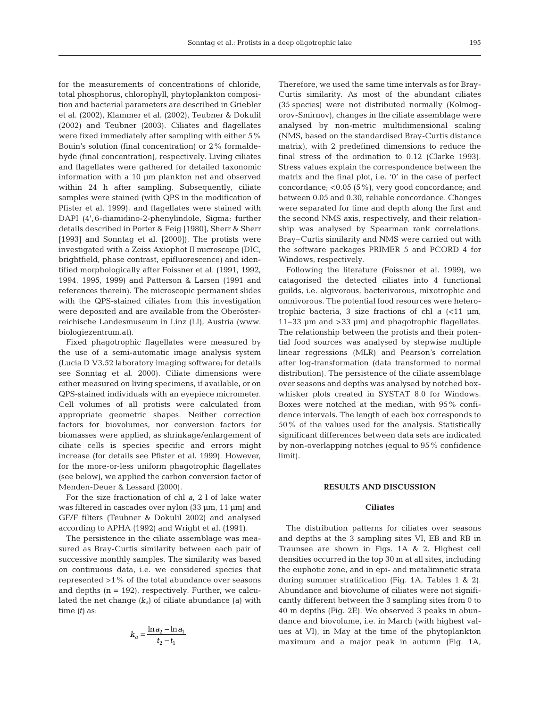for the measurements of concentrations of chloride, total phosphorus, chlorophyll, phytoplankton composition and bacterial parameters are described in Griebler et al. (2002), Klammer et al. (2002), Teubner & Dokulil (2002) and Teubner (2003). Ciliates and flagellates were fixed immediately after sampling with either 5% Bouin's solution (final concentration) or 2% formaldehyde (final concentration), respectively. Living ciliates and flagellates were gathered for detailed taxonomic information with a 10 µm plankton net and observed within 24 h after sampling. Subsequently, ciliate samples were stained (with QPS in the modification of Pfister et al. 1999), and flagellates were stained with DAPI (4',6-diamidino-2-phenylindole, Sigma; further details described in Porter & Feig [1980], Sherr & Sherr [1993] and Sonntag et al. [2000]). The protists were investigated with a Zeiss Axiophot II microscope (DIC, brightfield, phase contrast, epifluorescence) and identified morphologically after Foissner et al. (1991, 1992, 1994, 1995, 1999) and Patterson & Larsen (1991 and references therein). The microscopic permanent slides with the QPS-stained ciliates from this investigation were deposited and are available from the Oberösterreichische Landesmuseum in Linz (LI), Austria (www. biologiezentrum.at).

Fixed phagotrophic flagellates were measured by the use of a semi-automatic image analysis system (Lucia D V3.52 laboratory imaging software; for details see Sonntag et al. 2000). Ciliate dimensions were either measured on living specimens, if available, or on QPS-stained individuals with an eyepiece micrometer. Cell volumes of all protists were calculated from appropriate geometric shapes. Neither correction factors for biovolumes, nor conversion factors for biomasses were applied, as shrinkage/enlargement of ciliate cells is species specific and errors might increase (for details see Pfister et al. 1999). However, for the more-or-less uniform phagotrophic flagellates (see below), we applied the carbon conversion factor of Menden-Deuer & Lessard (2000).

For the size fractionation of chl *a*, 2 l of lake water was filtered in cascades over nylon (33 µm, 11 µm) and GF/F filters (Teubner & Dokulil 2002) and analysed according to APHA (1992) and Wright et al. (1991).

The persistence in the ciliate assemblage was measured as Bray-Curtis similarity between each pair of successive monthly samples. The similarity was based on continuous data, i.e. we considered species that represented >1% of the total abundance over seasons and depths  $(n = 192)$ , respectively. Further, we calculated the net change *(ka*) of ciliate abundance (*a*) with time *(t)* as:

$$
k_a = \frac{\ln a_2 - \ln a_1}{t_2 - t_1}
$$

Therefore, we used the same time intervals as for Bray-Curtis similarity. As most of the abundant ciliates (35 species) were not distributed normally (Kolmogorov-Smirnov), changes in the ciliate assemblage were analysed by non-metric multidimensional scaling (NMS, based on the standardised Bray-Curtis distance matrix), with 2 predefined dimensions to reduce the final stress of the ordination to 0.12 (Clarke 1993). Stress values explain the correspondence between the matrix and the final plot, i.e. '0' in the case of perfect concordance; <0.05 (5%), very good concordance; and between 0.05 and 0.30, reliable concordance. Changes were separated for time and depth along the first and the second NMS axis, respectively, and their relationship was analysed by Spearman rank correlations. Bray–Curtis similarity and NMS were carried out with the software packages PRIMER 5 and PCORD 4 for Windows, respectively.

Following the literature (Foissner et al. 1999), we catagorised the detected ciliates into 4 functional guilds, i.e. algivorous, bacterivorous, mixotrophic and omnivorous. The potential food resources were heterotrophic bacteria, 3 size fractions of chl  $a$   $\langle$  <11  $\mu$ m, 11–33 µm and >33 µm) and phagotrophic flagellates. The relationship between the protists and their potential food sources was analysed by stepwise multiple linear regressions (MLR) and Pearson's correlation after log-transformation (data transformed to normal distribution). The persistence of the ciliate assemblage over seasons and depths was analysed by notched boxwhisker plots created in SYSTAT 8.0 for Windows. Boxes were notched at the median, with 95% confidence intervals. The length of each box corresponds to 50% of the values used for the analysis. Statistically significant differences between data sets are indicated by non-overlapping notches (equal to 95% confidence limit).

## **RESULTS AND DISCUSSION**

#### **Ciliates**

The distribution patterns for ciliates over seasons and depths at the 3 sampling sites VI, EB and RB in Traunsee are shown in Figs. 1A & 2. Highest cell densities occurred in the top 30 m at all sites, including the euphotic zone, and in epi- and metalimnetic strata during summer stratification (Fig. 1A, Tables 1 & 2). Abundance and biovolume of ciliates were not significantly different between the 3 sampling sites from 0 to 40 m depths (Fig. 2E). We observed 3 peaks in abundance and biovolume, i.e. in March (with highest values at VI), in May at the time of the phytoplankton maximum and a major peak in autumn (Fig. 1A,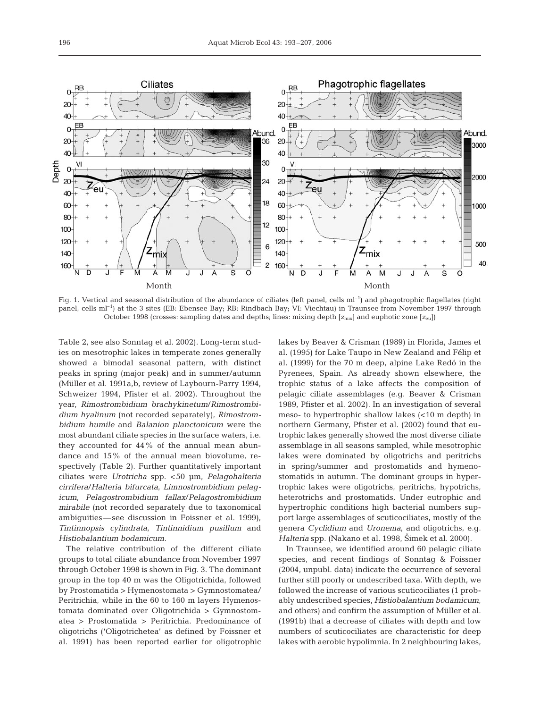

Fig. 1. Vertical and seasonal distribution of the abundance of ciliates (left panel, cells  $ml^{-1}$ ) and phagotrophic flagellates (right panel, cells ml–1) at the 3 sites (EB: Ebensee Bay; RB: Rindbach Bay; VI: Viechtau) in Traunsee from November 1997 through October 1998 (crosses: sampling dates and depths; lines: mixing depth  $[z_{mix}]$  and euphotic zone  $[z_{\text{ell}}]$ )

Table 2, see also Sonntag et al. 2002). Long-term studies on mesotrophic lakes in temperate zones generally showed a bimodal seasonal pattern, with distinct peaks in spring (major peak) and in summer/autumn (Müller et al. 1991a,b, review of Laybourn-Parry 1994, Schweizer 1994, Pfister et al. 2002). Throughout the year, *Rimostrombidium brachykinetum*/*Rimostrombidium hyalinum* (not recorded separately), *Rimostrombidium humile* and *Balanion planctonicum* were the most abundant ciliate species in the surface waters, i.e. they accounted for 44% of the annual mean abundance and 15% of the annual mean biovolume, respectively (Table 2). Further quantitatively important ciliates were *Urotricha* spp. <50 µm, *Pelagohalteria cirrifera*/*Halteria bifurcata*, *Limnostrombidium pelagicum*, *Pelagostrombidium fallax*/*Pelagostrombidium mirabile* (not recorded separately due to taxonomical ambiguities—see discussion in Foissner et al. 1999), *Tintinnopsis cylindrata*, *Tintinnidium pusillum* and *Histiobalantium bodamicum*.

The relative contribution of the different ciliate groups to total ciliate abundance from November 1997 through October 1998 is shown in Fig. 3. The dominant group in the top 40 m was the Oligotrichida, followed by Prostomatida > Hymenostomata > Gymnostomatea/ Peritrichia, while in the 60 to 160 m layers Hymenostomata dominated over Oligotrichida > Gymnostomatea > Prostomatida > Peritrichia. Predominance of oligotrichs ('Oligotrichetea' as defined by Foissner et al. 1991) has been reported earlier for oligotrophic lakes by Beaver & Crisman (1989) in Florida, James et al. (1995) for Lake Taupo in New Zealand and Félip et al. (1999) for the 70 m deep, alpine Lake Redó in the Pyrenees, Spain. As already shown elsewhere, the trophic status of a lake affects the composition of pelagic ciliate assemblages (e.g. Beaver & Crisman 1989, Pfister et al. 2002). In an investigation of several meso- to hypertrophic shallow lakes (<10 m depth) in northern Germany, Pfister et al. (2002) found that eutrophic lakes generally showed the most diverse ciliate assemblage in all seasons sampled, while mesotrophic lakes were dominated by oligotrichs and peritrichs in spring/summer and prostomatids and hymenostomatids in autumn. The dominant groups in hypertrophic lakes were oligotrichs, peritrichs, hypotrichs, heterotrichs and prostomatids. Under eutrophic and hypertrophic conditions high bacterial numbers support large assemblages of scuticociliates, mostly of the genera *Cyclidium* and *Uronema*, and oligotrichs, e.g. *Halteria* spp. (Nakano et al. 1998, Šimek et al. 2000).

In Traunsee, we identified around 60 pelagic ciliate species, and recent findings of Sonntag & Foissner (2004, unpubl. data) indicate the occurrence of several further still poorly or undescribed taxa. With depth, we followed the increase of various scuticociliates (1 probably undescribed species, *Histiobalantium bodamicum*, and others) and confirm the assumption of Müller et al. (1991b) that a decrease of ciliates with depth and low numbers of scuticociliates are characteristic for deep lakes with aerobic hypolimnia. In 2 neighbouring lakes,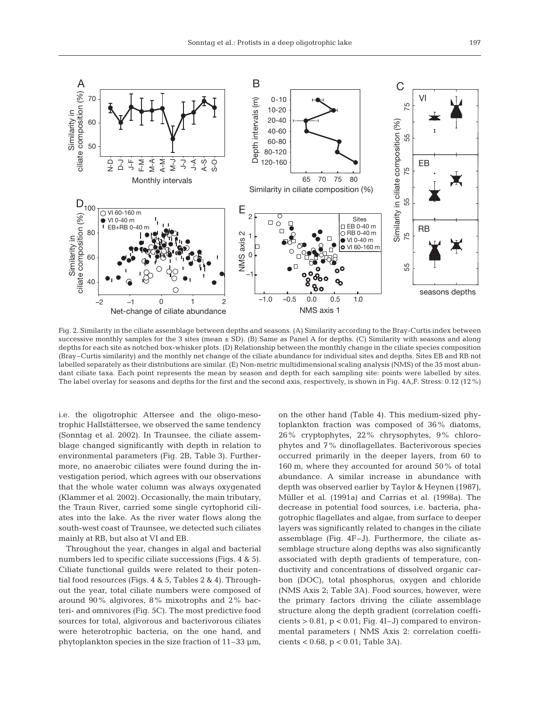

Fig. 2. Similarity in the ciliate assemblage between depths and seasons. (A) Similarity according to the Bray-Curtis index between successive monthly samples for the 3 sites (mean  $\pm$  SD). (B) Same as Panel A for depths. (C) Similarity with seasons and along depths for each site as notched box-whisker plots. (D) Relationship between the monthly change in the ciliate species composition (Bray–Curtis similarity) and the monthly net change of the ciliate abundance for individual sites and depths. Sites EB and RB not labelled separately as their distributions are similar. (E) Non-metric multidimensional scaling analysis (NMS) of the 35 most abundant ciliate taxa. Each point represents the mean by season and depth for each sampling site: points were labelled by sites. The label overlay for seasons and depths for the first and the second axis, respectively, is shown in Fig. 4A,F. Stress: 0.12 (12%)

i.e. the oligotrophic Attersee and the oligo-mesotrophic Hallstättersee, we observed the same tendency (Sonntag et al. 2002). In Traunsee, the ciliate assemblage changed significantly with depth in relation to environmental parameters (Fig. 2B, Table 3). Furthermore, no anaerobic ciliates were found during the investigation period, which agrees with our observations that the whole water column was always oxygenated (Klammer et al. 2002). Occasionally, the main tributary, the Traun River, carried some single cyrtophorid ciliates into the lake. As the river water flows along the south-west coast of Traunsee, we detected such ciliates mainly at RB, but also at VI and EB.

Throughout the year, changes in algal and bacterial numbers led to specific ciliate successions (Figs. 4 & 5). Ciliate functional guilds were related to their potential food resources (Figs. 4 & 5, Tables 2 & 4). Throughout the year, total ciliate numbers were composed of around 90% algivores, 8% mixotrophs and 2% bacteri- and omnivores (Fig. 5C). The most predictive food sources for total, algivorous and bacterivorous ciliates were heterotrophic bacteria, on the one hand, and phytoplankton species in the size fraction of 11–33 µm,

on the other hand (Table 4). This medium-sized phytoplankton fraction was composed of 36% diatoms, 26% cryptophytes, 22% chrysophytes, 9% chlorophytes and 7% dinoflagellates. Bacterivorous species occurred primarily in the deeper layers, from 60 to 160 m, where they accounted for around 50% of total abundance. A similar increase in abundance with depth was observed earlier by Taylor & Heynen (1987), Müller et al. (1991a) and Carrias et al. (1998a). The decrease in potential food sources, i.e. bacteria, phagotrophic flagellates and algae, from surface to deeper layers was significantly related to changes in the ciliate assemblage (Fig. 4F–J). Furthermore, the ciliate assemblage structure along depths was also significantly associated with depth gradients of temperature, conductivity and concentrations of dissolved organic carbon (DOC), total phosphorus, oxygen and chloride (NMS Axis 2; Table 3A). Food sources, however, were the primary factors driving the ciliate assemblage structure along the depth gradient (correlation coefficients  $> 0.81$ ,  $p < 0.01$ ; Fig. 4I-J) compared to environmental parameters ( NMS Axis 2: correlation coefficients < 0.68, p < 0.01; Table 3A).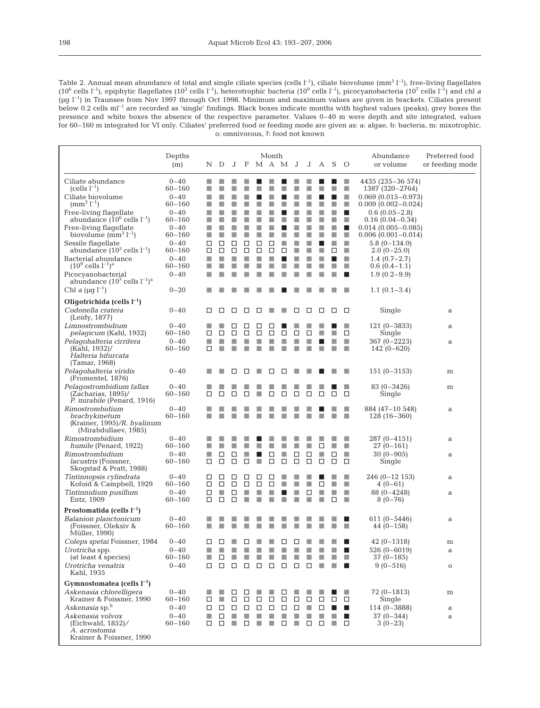Table 2. Annual mean abundance of total and single ciliate species (cells  $l^{-1}$ ), ciliate biovolume  $(mm^3 l^{-1})$ , free-living flagellates (106 cells l–1), epiphytic flagellates (103 cells l–1), heterotrophic bacteria (109 cells l–1), picocyanobacteria (107 cells l–1) and chl *a*  $(\mu q I^{-1})$  in Traunsee from Nov 1997 through Oct 1998. Minimum and maximum values are given in brackets. Ciliates present below 0.2 cells ml<sup>-1</sup> are recorded as 'single' findings. Black boxes indicate months with highest values (peaks), grey boxes the presence and white boxes the absence of the respective parameter. Values 0–40 m were depth and site integrated, values for 60–160 m integrated for VI only. Ciliates' preferred food or feeding mode are given as: a: algae, b: bacteria, m: mixotrophic, o: omnivorous, ?: food not known

|                                                                                                                                                                                                                                                                                                                                                                                                               | Depths<br>(m)                                                                                                                                        | N D                                                  |                       | J                           | F                          | M A M                 | Month            |                            | J                     |                  | J A S            |                    | $\circ$                                                   | Abundance<br>or volume                                                                                                                                                                                                                                                            | Preferred food<br>or feeding mode |
|---------------------------------------------------------------------------------------------------------------------------------------------------------------------------------------------------------------------------------------------------------------------------------------------------------------------------------------------------------------------------------------------------------------|------------------------------------------------------------------------------------------------------------------------------------------------------|------------------------------------------------------|-----------------------|-----------------------------|----------------------------|-----------------------|------------------|----------------------------|-----------------------|------------------|------------------|--------------------|-----------------------------------------------------------|-----------------------------------------------------------------------------------------------------------------------------------------------------------------------------------------------------------------------------------------------------------------------------------|-----------------------------------|
| Ciliate abundance<br>$(cells l-1)$<br>Ciliate biovolume<br>$\rm (mm^3\ l^{-1})$<br>Free-living flagellate<br>abundance $(10^6 \text{ cells } l^{-1})$<br>Free-living flagellate<br>biovolume $(mm^3 l^{-1})$<br>Sessile flagellate<br>abundance $(10^3 \text{ cells } l^{-1})$<br>Bacterial abundance<br>$(10^9 \text{ cells } l^{-1})^a$<br>Picocyanobacterial<br>abundance $(10^7 \text{ cells } l^{-1})^a$ | $0 - 40$<br>$60 - 160$<br>$0 - 40$<br>60-160<br>$0 - 40$<br>60-160<br>$0 - 40$<br>$60 - 160$<br>$0 - 40$<br>60-160<br>$0 - 40$<br>60-160<br>$0 - 40$ | п<br>■<br>п<br>■<br>п<br>п<br>T.<br>□<br>□<br>п<br>П | П<br>□<br>□<br>П      | П<br>□<br>□<br>П            | П<br>□<br>□<br>П<br>П<br>П | п<br>□<br>□<br>П      | □<br>□<br>п      | ٠<br>□                     | П<br>П<br>E<br>П<br>п | П<br>П<br>п<br>П |                  | ш<br>r.<br>r.<br>□ | r.<br>▉<br>٠<br>П<br>п<br>п<br>п<br>п<br>o<br>п<br>п<br>ш | 4435 (235–36 574)<br>1387 (320–2764)<br>$0.069(0.015 - 0.973)$<br>$0.009(0.002 - 0.024)$<br>$0.6(0.05-2.8)$<br>$0.16(0.04 - 0.34)$<br>$0.014(0.005 - 0.085)$<br>$0.006(0.001 - 0.014)$<br>$5.8(0-134.0)$<br>$2.0(0-25.0)$<br>$1.4(0.7-2.7)$<br>$0.6(0.4-1.1)$<br>$1.9(0.2 - 9.9)$ |                                   |
| Chl a ( $\mu$ g l <sup>-1</sup> )                                                                                                                                                                                                                                                                                                                                                                             | $0 - 20$                                                                                                                                             |                                                      |                       |                             |                            |                       |                  |                            |                       |                  |                  |                    |                                                           | $1.1(0.1-3.4)$                                                                                                                                                                                                                                                                    |                                   |
| Oligotrichida (cells $l^{-1}$ )<br>Codonella cratera<br>(Leidy, 1877)                                                                                                                                                                                                                                                                                                                                         | $0 - 40$                                                                                                                                             | □                                                    | □                     | □                           | □                          | □                     |                  |                            | □                     | □                | □                | □                  | □                                                         | Single                                                                                                                                                                                                                                                                            | a                                 |
| Limnostrombidium<br>pelagicum (Kahl, 1932)                                                                                                                                                                                                                                                                                                                                                                    | $0 - 40$<br>60-160                                                                                                                                   | L<br>□                                               | □                     | □<br>□                      | □<br>□                     | □<br>□                | □<br>□           | □                          | □                     | □                |                  | H                  | □                                                         | $121(0-3833)$<br>Single                                                                                                                                                                                                                                                           | a                                 |
| Pelagohalteria cirrifera<br>(Kahl, 1932)/<br>Halteria bifurcata<br>(Tamar, 1968)                                                                                                                                                                                                                                                                                                                              | $0 - 40$<br>60-160                                                                                                                                   | п<br>□                                               | П<br>П                | П                           | П                          | П                     | r.               |                            | н                     |                  |                  |                    | п<br>п                                                    | 367 (0-2223)<br>$142(0-620)$                                                                                                                                                                                                                                                      | a                                 |
| Pelagohalteria viridis<br>(Fromentel, 1876)                                                                                                                                                                                                                                                                                                                                                                   | $0 - 40$                                                                                                                                             | H                                                    |                       | □                           | □                          |                       | □                | □                          |                       |                  |                  |                    | r.                                                        | $151(0-3153)$                                                                                                                                                                                                                                                                     | m                                 |
| Pelagostrombidium fallax<br>$(Zacharias, 1895)$ /<br>P. mirabile (Penard, 1916)                                                                                                                                                                                                                                                                                                                               | $0 - 40$<br>$60 - 160$                                                                                                                               | m.<br>□                                              | □                     | □                           | □                          |                       | □                | □                          | □                     | □                | □                | □                  | r.<br>□                                                   | $83(0-3426)$<br>Single                                                                                                                                                                                                                                                            | m                                 |
| Rimostrombidium<br>brachykinetum<br>(Krainer, 1995)/R. hyalinum<br>(Mirabdullaev, 1985)                                                                                                                                                                                                                                                                                                                       | $0 - 40$<br>60-160                                                                                                                                   | ٠                                                    |                       |                             |                            |                       |                  |                            |                       |                  |                  |                    | П                                                         | 884 (47-10 548)<br>$128(16-360)$                                                                                                                                                                                                                                                  | a                                 |
| Rimostrombidium<br>humile (Penard, 1922)                                                                                                                                                                                                                                                                                                                                                                      | $0 - 40$<br>60-160                                                                                                                                   |                                                      | ш                     |                             |                            |                       |                  |                            | П                     | п                | □                | п                  | ш<br>п                                                    | 287 (0-4151)<br>27 (0–161)                                                                                                                                                                                                                                                        | a                                 |
| Rimostrombidium<br><i>lacustris</i> (Foissner,<br>Skogstad & Pratt, 1988)                                                                                                                                                                                                                                                                                                                                     | $0 - 40$<br>60-160                                                                                                                                   | T.<br>□                                              | □<br>□                | □<br>□                      | ▉<br>□                     | п                     | □<br>□           | □                          | □<br>□                | □<br>□           | П<br>□           | □<br>□             | п<br>□                                                    | $30(0-905)$<br>Single                                                                                                                                                                                                                                                             | a                                 |
| Tintinnopsis cylindrata<br>Kofoid & Campbell, 1929                                                                                                                                                                                                                                                                                                                                                            | $0 - 40$<br>60-160                                                                                                                                   | □<br>□                                               | □<br>□                | □<br>□                      | □<br>□                     | □<br>□                | □<br>□           | п                          | п                     | п                | □                | п                  |                                                           | 246 (0-12 153)<br>$4(0-61)$                                                                                                                                                                                                                                                       | a                                 |
| Tintinnidium pusillum<br>Entz, 1909                                                                                                                                                                                                                                                                                                                                                                           | $0 - 40$<br>60-160                                                                                                                                   | □                                                    | П<br>□                | □<br>□                      | П<br>П                     |                       |                  |                            |                       | ◻                |                  | r.<br>□            | п<br>п                                                    | $88(0-4248)$<br>$8(0 - 76)$                                                                                                                                                                                                                                                       | a                                 |
| Prostomatida (cells $l^{-1}$ )                                                                                                                                                                                                                                                                                                                                                                                |                                                                                                                                                      |                                                      |                       |                             |                            |                       |                  |                            |                       |                  |                  |                    |                                                           |                                                                                                                                                                                                                                                                                   |                                   |
| Balanion planctonicum<br>(Foissner, Oleksiv &<br>Müller, 1990)                                                                                                                                                                                                                                                                                                                                                | $0 - 40$<br>$60 - 160$                                                                                                                               |                                                      |                       |                             |                            |                       |                  |                            |                       |                  |                  |                    | п                                                         | $611(0 - 5446)$<br>$44(0-158)$                                                                                                                                                                                                                                                    | a                                 |
| Coleps spetai Foissner, 1984<br>Urotricha spp.                                                                                                                                                                                                                                                                                                                                                                | $0 - 40$<br>$0 - 40$                                                                                                                                 | □<br>■                                               | ш                     |                             |                            |                       |                  |                            |                       |                  |                  |                    |                                                           | $42(0-1318)$<br>$526(0 - 6019)$                                                                                                                                                                                                                                                   | m<br>a                            |
| (at least 4 species)                                                                                                                                                                                                                                                                                                                                                                                          | $60 - 160$                                                                                                                                           |                                                      | □                     |                             |                            |                       |                  |                            |                       |                  |                  |                    | ■                                                         | $37(0-185)$                                                                                                                                                                                                                                                                       |                                   |
| Urotricha venatrix<br>Kahl, 1935                                                                                                                                                                                                                                                                                                                                                                              | $0 - 40$                                                                                                                                             | $\Box$                                               | $\Box$                | $\Box$                      | $\Box$                     | □                     |                  | □                          | □                     | $\Box$           | ■                |                    | ш                                                         | $9(0-516)$                                                                                                                                                                                                                                                                        | $\mathbf O$                       |
| Gymnostomatea (cells $l^{-1}$ )<br>Askenasia chlorelligera<br>Krainer & Foissner, 1990<br>Askenasia sp.b<br>Askenasia volvox<br>(Eichwald, $1852$ )/<br>A. acrostomia<br>Krainer & Foissner, 1990                                                                                                                                                                                                             | $0 - 40$<br>$60 - 160$<br>$0 - 40$<br>$0 - 40$<br>60-160                                                                                             | □<br>□<br>ш<br>□                                     | ш<br>$\Box$<br>□<br>□ | □<br>□<br>$\Box$<br>Ш<br>H. | □<br>□<br>$\Box$<br>Ш<br>□ | □<br>$\Box$<br>▉<br>п | □<br>□<br>ш<br>п | □<br>□<br>$\Box$<br>п<br>□ | □<br>□<br>ш<br>П      | □<br>ш<br>$\Box$ | □<br>□<br>ш<br>□ | □<br>H<br>п        | ш<br>□<br>$\blacksquare$<br>п<br>□                        | $72(0-1813)$<br>Single<br>$114(0-3888)$<br>$37(0-344)$<br>$3(0-23)$                                                                                                                                                                                                               | m<br>a<br>a                       |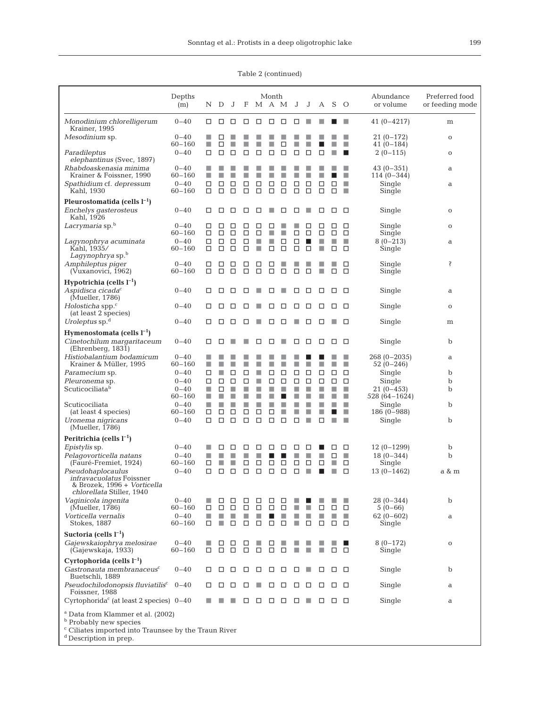|  | Table 2 (continued) |
|--|---------------------|
|--|---------------------|

|                                                                                                                                                                                           | Depths<br>(m)                        | Ν           | D           | J           | F                             |             | Month<br>M A M           |             | J      | J      | A           | S.                     | $\circ$     | Abundance<br>or volume             | Preferred food<br>or feeding mode |
|-------------------------------------------------------------------------------------------------------------------------------------------------------------------------------------------|--------------------------------------|-------------|-------------|-------------|-------------------------------|-------------|--------------------------|-------------|--------|--------|-------------|------------------------|-------------|------------------------------------|-----------------------------------|
| Monodinium chlorelligerum<br>Krainer, 1995                                                                                                                                                | $0 - 40$                             | □           | □           | □           | □                             | □           | □                        | □           | □      | ٠      |             |                        | п           | $41(0-4217)$                       | m                                 |
| Mesodinium sp.                                                                                                                                                                            | $0 - 40$<br>$60 - 160$               | T.          | □<br>□      | П           | ▉                             | П           | п                        | □           | ш      |        |             |                        | П           | 21 (0–172)<br>$41(0-184)$          | $\mathbf 0$                       |
| Paradileptus<br>elephantinus (Svec, 1897)                                                                                                                                                 | $0 - 40$                             | □           | □           | □           | □                             | □           | □                        | □           | □      | □      | □           |                        | п           | $2(0-115)$                         | $\mathbf 0$                       |
| Rhabdoaskenasia minima<br>Krainer & Foissner, 1990                                                                                                                                        | $0 - 40$<br>$60 - 160$               | п           | E           |             | ▉                             | ▉           | r.                       |             |        |        |             |                        | п           | $43(0-351)$<br>$114(0-344)$        | a                                 |
| Spathidium cf. depressum<br>Kahl, 1930                                                                                                                                                    | $0 - 40$<br>$60 - 160$               | □<br>◻      | □<br>□      | □<br>□      | □<br>$\Box$                   | □<br>□      | □<br>□                   | □<br>□      | □<br>□ | □<br>□ | □<br>□      | □<br>□                 | п<br>п      | Single<br>Single                   | a                                 |
| Pleurostomatida (cells $l^{-1}$ )                                                                                                                                                         |                                      |             |             |             |                               |             |                          |             |        |        |             |                        |             |                                    |                                   |
| Enchelys gasterosteus<br>Kahl, 1926                                                                                                                                                       | $0 - 40$                             | □           | □           | □           | □                             | □           | r.                       | □           | □      |        | ◻           | □                      | □           | Single                             | $\mathbf 0$                       |
| Lacrymaria sp.b                                                                                                                                                                           | $0 - 40$<br>$60 - 160$               | □<br>□      | □<br>□      | □<br>□      | □<br>□                        | □<br>□      | □<br>п                   | п           | □      | □<br>□ | □<br>□      | □<br>□                 | □<br>□      | Single<br>Single                   | $\mathbf O$                       |
| Lagynophrya acuminata<br>Kahl, 1935/<br>Lagynophrya sp. <sup>b</sup>                                                                                                                      | $0 - 40$<br>$60 - 160$               | □<br>□      | □<br>□      | □<br>□      | □<br>$\Box$                   | П<br>П      | п<br>□                   | □<br>□      | □<br>□ | ш<br>□ | п<br>п      | ш<br>□                 | П<br>□      | $8(0-213)$<br>Single               | a                                 |
| Amphileptus piger<br>(Vuxanovici, 1962)                                                                                                                                                   | $0 - 40$<br>$60 - 160$               | □<br>◻      | □<br>□      | □<br>□      | □<br>□                        | □<br>□      | □<br>□                   | □           | □      | □      |             | ٠<br>□                 | □<br>□      | Single<br>Single                   | Ŝ                                 |
| Hypotrichia (cells $l^{-1}$ )<br>Aspidisca cicada <sup>c</sup><br>(Mueller, 1786)                                                                                                         | $0 - 40$                             | □           | □           | □           | □                             | ш           | □                        | п           | □      | □      | □           | □                      | □           | Single                             | a                                 |
| Holosticha spp. $\rm{c}$                                                                                                                                                                  | $0 - 40$                             | □           | □           | □           | ш                             |             | ⊔                        | ப           | □      | □      | □           | ப                      | □           | Single                             | $\mathbf O$                       |
| (at least 2 species)<br>Uroleptus sp. $d$                                                                                                                                                 | $0 - 40$                             | □           | □           | □           | □                             | п           | □                        | □           |        | □      | □           |                        | □           | Single                             | m                                 |
| Hymenostomata (cells $l^{-1}$ )<br>Cinetochilum margaritaceum<br>(Ehrenberg, 1831)                                                                                                        | $0 - 40$                             | □           | □           |             |                               | □           | □                        |             | □      | □      | □           | □                      | □           | Single                             | b                                 |
| Histiobalantium bodamicum                                                                                                                                                                 | $0 - 40$                             |             |             |             |                               |             |                          |             |        |        |             |                        | П           | $268(0-2035)$                      | a                                 |
| Krainer & Müller, 1995<br><i>Paramecium</i> sp.                                                                                                                                           | $60 - 160$<br>$0 - 40$               | п<br>□      | П           | □           | ■<br>□                        | П           | □                        | □           | □      | □      | □           | □                      | □           | 52 (0–246)<br>Single               | b                                 |
| Pleuronema sp.                                                                                                                                                                            | $0 - 40$                             | □           | □           | □           | □                             | П           | □                        | □           | □      | □      | □           | □                      | □           | Single                             | b                                 |
| Scuticociliata <sup>b</sup>                                                                                                                                                               | $0 - 40$<br>$60 - 160$               | T.<br>п     | □<br>ш      | ▉<br>п      | $\overline{\phantom{a}}$<br>▉ | П<br>П      | п                        | П           | H<br>Ш | П<br>ш | П<br>٠      | п<br>ш                 | п<br>E      | $21(0-453)$<br>528 (64–1624)       | b                                 |
| Scuticociliata                                                                                                                                                                            | $0 - 40$                             | T.          | П           | П           | ×                             | П           | П                        | П           | П      | П      | п           | П                      | П           | Single                             | b                                 |
| (at least 4 species)                                                                                                                                                                      | $60 - 160$                           | □           | □           | □           | □                             | □           | □                        | ٠           | Ш      | н      | п           | <b>Service Service</b> | П           | $186(0-988)$                       |                                   |
| Uronema nigricans<br>(Mueller, 1786)                                                                                                                                                      | $0 - 40$                             | ◻           | □           | $\Box$      | $\Box$                        | □           | $\Box$                   | □           | □      |        | □           |                        | П           | Single                             | b                                 |
| Peritrichia (cells $l^{-1}$ )                                                                                                                                                             |                                      |             |             |             |                               |             |                          |             |        |        |             |                        |             |                                    |                                   |
| <i>Epistylis</i> sp.                                                                                                                                                                      | $0 - 40$                             |             | □           | □           | □                             | □           | □                        | □           | □      | ப      |             | ப                      | □           | $12(0-1299)$                       | b                                 |
| Pelagovorticella natans<br>(Fauré-Fremiet, 1924)                                                                                                                                          | $0 - 40$<br>$60 - 160$               | п<br>□      |             | П           | □                             | п<br>□      | □                        | □           | □      | □      | □           | п<br>п                 | п<br>□      | $18(0-344)$<br>Single              | b                                 |
| Pseudohaplocaulus<br>infravacuolatus Foissner<br>& Brozek, 1996 + Vorticella<br><i>chlorellata</i> Stiller, 1940                                                                          | $0 - 40$                             | ◻           | □           | □           | □                             | □           | □                        | □           | □      | T.     |             |                        | □           | $13(0-1462)$                       | a & m                             |
| Vaginicola ingenita                                                                                                                                                                       | $0 - 40$                             | ш           | □           | □           | □                             | ப           | □                        | □           |        |        |             |                        | ш           | 28 (0-344)                         | b                                 |
| (Mueller, 1786)<br>Vorticella vernalis<br>Stokes, 1887                                                                                                                                    | $60 - 160$<br>$0 - 40$<br>$60 - 160$ | □<br>П<br>□ | □<br>п<br>٠ | □<br>▉<br>□ | □<br>□                        | □<br>▉<br>□ | □<br>$\blacksquare$<br>□ | □<br>п<br>□ | ٠      | п<br>□ | □<br>п<br>□ | □<br>п<br>0            | □<br>×<br>□ | $5(0-66)$<br>$62(0-602)$<br>Single | a                                 |
| Suctoria (cells $l^{-1}$ )                                                                                                                                                                |                                      |             |             |             |                               |             |                          |             |        |        |             |                        |             |                                    |                                   |
| Gajewskaiophrya melosirae<br>(Gajewskaja, 1933)                                                                                                                                           | $0 - 40$<br>$60 - 160$               | ■<br>□      | □<br>□      | □<br>□      | □<br>$\Box$                   | ▉<br>□      | □<br>□                   | ш<br>□      | П      | П      | п           | □                      | □           | $8(0-172)$<br>Single               | $\mathbf O$                       |
| Cyrtophorida (cells $l^{-1}$ )<br>Gastronauta membranaceus <sup>c</sup><br>Buetschli, 1889                                                                                                | $0 - 40$                             | □           | □           | □           | □                             | □           | □                        | □           | □      | ш      | □           | □                      | □           | Single                             | b                                 |
| Pseudochilodonopsis fluviatilis <sup>c</sup><br>Foissner, 1988                                                                                                                            | $0 - 40$                             | □           | □           | □           | □                             |             | □                        | □           | □      | □      | □           |                        | □           | Single                             | a                                 |
| Cyrtophorida <sup>c</sup> (at least 2 species) $0-40$                                                                                                                                     |                                      |             |             |             |                               | □           | 0 O                      |             | □      | ٠      | □           | 0 O                    |             | Single                             | a                                 |
| <sup>a</sup> Data from Klammer et al. (2002)<br><sup>b</sup> Probably new species<br><sup>c</sup> Ciliates imported into Traunsee by the Traun River<br><sup>d</sup> Description in prep. |                                      |             |             |             |                               |             |                          |             |        |        |             |                        |             |                                    |                                   |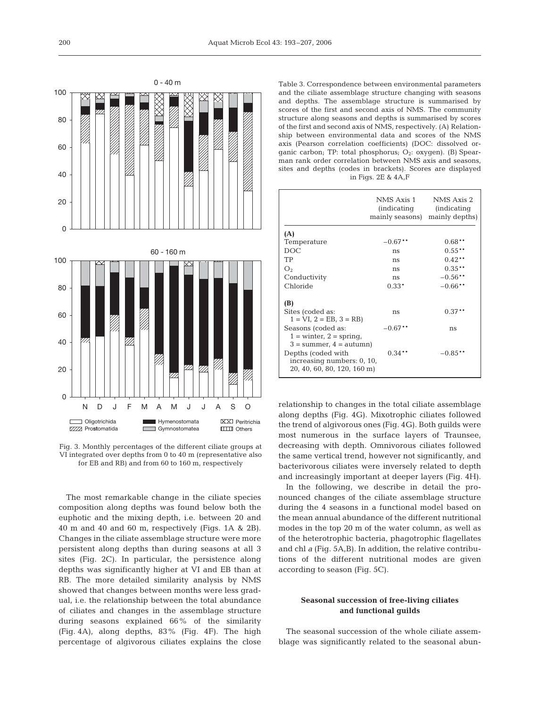

Fig. 3. Monthly percentages of the different ciliate groups at VI integrated over depths from 0 to 40 m (representative also for EB and RB) and from 60 to 160 m, respectively

The most remarkable change in the ciliate species composition along depths was found below both the euphotic and the mixing depth, i.e. between 20 and 40 m and 40 and 60 m, respectively (Figs. 1A & 2B). Changes in the ciliate assemblage structure were more persistent along depths than during seasons at all 3 sites (Fig. 2C). In particular, the persistence along depths was significantly higher at VI and EB than at RB. The more detailed similarity analysis by NMS showed that changes between months were less gradual, i.e. the relationship between the total abundance of ciliates and changes in the assemblage structure during seasons explained 66% of the similarity (Fig. 4A), along depths, 83% (Fig. 4F). The high percentage of algivorous ciliates explains the close

Table 3. Correspondence between environmental parameters and the ciliate assemblage structure changing with seasons and depths. The assemblage structure is summarised by scores of the first and second axis of NMS. The community structure along seasons and depths is summarised by scores of the first and second axis of NMS, respectively. (A) Relationship between environmental data and scores of the NMS axis (Pearson correlation coefficients) (DOC: dissolved organic carbon; TP: total phosphorus;  $O_2$ : oxygen). (B) Spearman rank order correlation between NMS axis and seasons, sites and depths (codes in brackets). Scores are displayed in Figs. 2E & 4A,F

|                                                                                  | NMS Axis 1<br><i>(indicating)</i><br>mainly seasons) mainly depths) | NMS Axis 2<br><i>(indicating)</i> |
|----------------------------------------------------------------------------------|---------------------------------------------------------------------|-----------------------------------|
| (A)                                                                              |                                                                     |                                   |
| Temperature                                                                      | $-0.67$ **                                                          | $0.68**$                          |
| DOC.                                                                             | ns                                                                  | $0.55**$                          |
| TP                                                                               | ns                                                                  | $0.42**$                          |
| O <sub>2</sub>                                                                   | ns                                                                  | $0.35***$                         |
| Conductivity                                                                     | ns                                                                  | $-0.56**$                         |
| Chloride                                                                         | $0.33*$                                                             | $-0.66$ **                        |
| (B)                                                                              |                                                                     |                                   |
| Sites (coded as:<br>$1 = VI$ , $2 = EB$ , $3 = RB$ )                             | ns                                                                  | $0.37***$                         |
| Seasons (coded as:<br>$1 =$ winter, $2 =$ spring,<br>$3 =$ summer, $4 =$ autumn) | $-0.67***$                                                          | ns                                |
| Depths (coded with<br>increasing numbers: 0, 10,<br>20, 40, 60, 80, 120, 160 m)  | $0.34**$                                                            | $-0.85**$                         |

relationship to changes in the total ciliate assemblage along depths (Fig. 4G). Mixotrophic ciliates followed the trend of algivorous ones (Fig. 4G). Both guilds were most numerous in the surface layers of Traunsee, decreasing with depth. Omnivorous ciliates followed the same vertical trend, however not significantly, and bacterivorous ciliates were inversely related to depth and increasingly important at deeper layers (Fig. 4H).

In the following, we describe in detail the pronounced changes of the ciliate assemblage structure during the 4 seasons in a functional model based on the mean annual abundance of the different nutritional modes in the top 20 m of the water column, as well as of the heterotrophic bacteria, phagotrophic flagellates and chl *a* (Fig. 5A,B). In addition, the relative contributions of the different nutritional modes are given according to season (Fig. 5C).

# **Seasonal succession of free-living ciliates and functional guilds**

The seasonal succession of the whole ciliate assemblage was significantly related to the seasonal abun-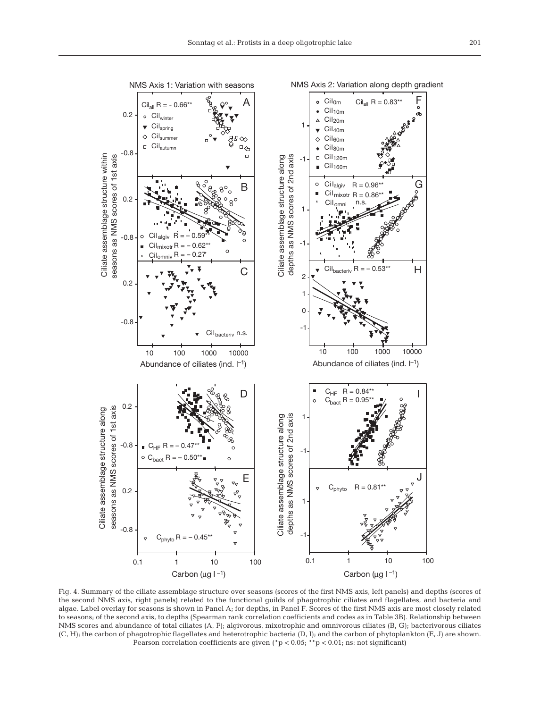

Ciliate assemblage structure within

Ciliate assemblage structure within

Ciliate assemblage structure along

Ciliate assemblage structure along

0.1 1 10 100

Carbon ( $\mu$ g l -1)

Fig. 4. Summary of the ciliate assemblage structure over seasons (scores of the first NMS axis, left panels) and depths (scores of the second NMS axis, right panels) related to the functional guilds of phagotrophic ciliates and flagellates, and bacteria and algae. Label overlay for seasons is shown in Panel A; for depths, in Panel F. Scores of the first NMS axis are most closely related to seasons; of the second axis, to depths (Spearman rank correlation coefficients and codes as in Table 3B). Relationship between NMS scores and abundance of total ciliates (A, F); algivorous, mixotrophic and omnivorous ciliates (B, G); bacterivorous ciliates (C, H); the carbon of phagotrophic flagellates and heterotrophic bacteria (D, I); and the carbon of phytoplankton (E, J) are shown. Pearson correlation coefficients are given ( $p < 0.05$ ; \*\*p < 0.01; ns: not significant)

Carbon ( $\mu$ g l  $^{-1}$ ) 0.1 1 10 100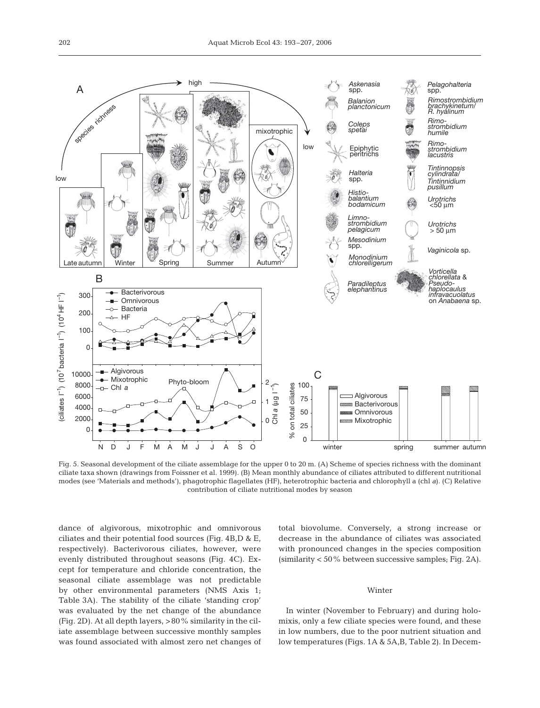

Fig. 5. Seasonal development of the ciliate assemblage for the upper 0 to 20 m. (A) Scheme of species richness with the dominant ciliate taxa shown (drawings from Foissner et al. 1999). (B) Mean monthly abundance of ciliates attributed to different nutritional modes (see 'Materials and methods'), phagotrophic flagellates (HF), heterotrophic bacteria and chlorophyll a (chl *a*). (C) Relative contribution of ciliate nutritional modes by season

dance of algivorous, mixotrophic and omnivorous ciliates and their potential food sources (Fig. 4B,D & E, respectively). Bacterivorous ciliates, however, were evenly distributed throughout seasons (Fig. 4C). Except for temperature and chloride concentration, the seasonal ciliate assemblage was not predictable by other environmental parameters (NMS Axis 1; Table 3A). The stability of the ciliate 'standing crop' was evaluated by the net change of the abundance (Fig. 2D). At all depth layers, >80% similarity in the ciliate assemblage between successive monthly samples was found associated with almost zero net changes of total biovolume. Conversely, a strong increase or decrease in the abundance of ciliates was associated with pronounced changes in the species composition (similarity < 50% between successive samples; Fig. 2A).

#### Winter

In winter (November to February) and during holomixis, only a few ciliate species were found, and these in low numbers, due to the poor nutrient situation and low temperatures (Figs. 1A & 5A,B, Table 2). In Decem-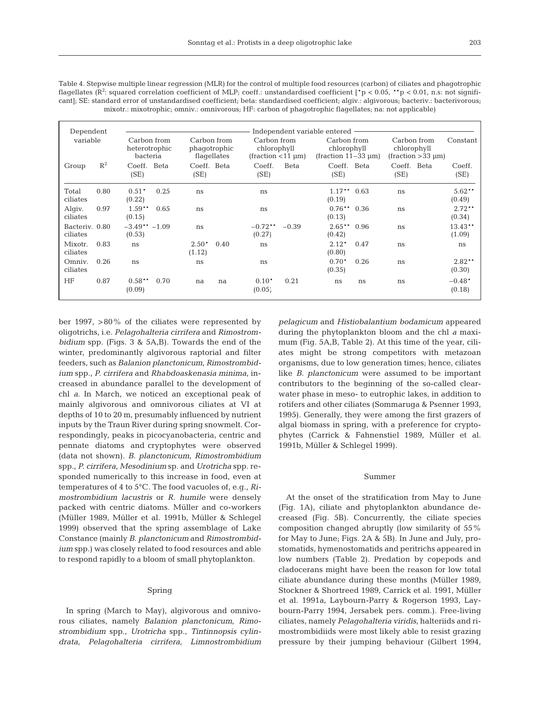| Dependent                  |       |                                          |                                            | Independent variable entered -                                       |                                                        |                                                       |                     |
|----------------------------|-------|------------------------------------------|--------------------------------------------|----------------------------------------------------------------------|--------------------------------------------------------|-------------------------------------------------------|---------------------|
| variable                   |       | Carbon from<br>heterotrophic<br>bacteria | Carbon from<br>phagotrophic<br>flagellates | Carbon from<br>chlorophyll<br>$(\text{fraction} < 11 \,\mu\text{m})$ | Carbon from<br>chlorophyll<br>$(fraction 11-33 \mu m)$ | Carbon from<br>chlorophyll<br>$(fraction > 33 \mu m)$ | Constant            |
| Group                      | $R^2$ | Coeff.<br>Beta<br>(SE)                   | Coeff. Beta<br>(SE)                        | Beta<br>Coeff.<br>(SE)                                               | Coeff.<br>Beta<br>(SE)                                 | Coeff. Beta<br>(SE)                                   | Coeff.<br>(SE)      |
| Total<br>ciliates          | 0.80  | $0.51*$<br>0.25<br>(0.22)                | ns                                         | ns                                                                   | $1.17***$ 0.63<br>(0.19)                               | ns                                                    | $5.62**$<br>(0.49)  |
| Algiv.<br>ciliates         | 0.97  | $1.59**$<br>0.65<br>(0.15)               | ns                                         | ns                                                                   | $0.76**$ 0.36<br>(0.13)                                | ns                                                    | $2.72**$<br>(0.34)  |
| Bacteriy, 0.80<br>ciliates |       | $-3.49** -1.09$<br>(0.53)                | ns                                         | $-0.72**$<br>$-0.39$<br>(0.27)                                       | $2.65**$<br>0.96<br>(0.42)                             | ns                                                    | $13.43**$<br>(1.09) |
| Mixotr.<br>ciliates        | 0.83  | ns                                       | $2.50*$<br>0.40<br>(1.12)                  | ns                                                                   | $2.12*$<br>0.47<br>(0.80)                              | ns                                                    | ns                  |
| Omniy.<br>ciliates         | 0.26  | ns                                       | ns                                         | ns                                                                   | $0.70*$<br>0.26<br>(0.35)                              | ns                                                    | $2.82**$<br>(0.30)  |
| HF                         | 0.87  | $0.58**$<br>0.70<br>(0.09)               | na<br>na                                   | 0.21<br>$0.10*$<br>(0.05)                                            | ns<br>ns                                               | ns                                                    | $-0.48*$<br>(0.18)  |

Table 4. Stepwise multiple linear regression (MLR) for the control of multiple food resources (carbon) of ciliates and phagotrophic flagellates (R<sup>2</sup>: squared correlation coefficient of MLP; coeff.: unstandardised coefficient [\*p < 0.05, \*\*p < 0.01, n.s: not significant]; SE: standard error of unstandardised coefficient; beta: standardised coefficient; algiv.: algivorous; bacteriv.: bacterivorous; mixotr.: mixotrophic; omniv.: omnivorous; HF: carbon of phagotrophic flagellates; na: not applicable)

ber 1997, >80% of the ciliates were represented by oligotrichs, i.e. *Pelagohalteria cirrifera* and *Rimostrombidium* spp. (Figs. 3 & 5A,B). Towards the end of the winter, predominantly algivorous raptorial and filter feeders, such as *Balanion planctonicum*, *Rimostrombidium* spp., *P. cirrifera* and *Rhabdoaskenasia minima,* increased in abundance parallel to the development of chl *a*. In March, we noticed an exceptional peak of mainly algivorous and omnivorous ciliates at VI at depths of 10 to 20 m, presumably influenced by nutrient inputs by the Traun River during spring snowmelt. Correspondingly, peaks in picocyanobacteria, centric and pennate diatoms and cryptophytes were observed (data not shown). *B. planctonicum*, *Rimostrombidium* spp., *P. cirrifera*, *Mesodinium* sp. and *Urotricha* spp. responded numerically to this increase in food, even at temperatures of 4 to 5°C. The food vacuoles of, e.g., *Rimostrombidium lacustris* or *R. humile* were densely packed with centric diatoms. Müller and co-workers (Müller 1989, Müller et al. 1991b, Müller & Schlegel 1999) observed that the spring assemblage of Lake Constance (mainly *B. planctonicum* and *Rimostrombidium* spp.) was closely related to food resources and able to respond rapidly to a bloom of small phytoplankton.

## Spring

In spring (March to May), algivorous and omnivorous ciliates, namely *Balanion planctonicum*, *Rimostrombidium* spp., *Urotricha* spp., *Tintinnopsis cylindrata*, *Pelagohalteria cirrifera*, *Limnostrombidium* *pelagicum* and *Histiobalantium bodamicum* appeared during the phytoplankton bloom and the chl *a* maximum (Fig. 5A,B, Table 2). At this time of the year, ciliates might be strong competitors with metazoan organisms, due to low generation times; hence, ciliates like *B. planctonicum* were assumed to be important contributors to the beginning of the so-called clearwater phase in meso- to eutrophic lakes, in addition to rotifers and other ciliates (Sommaruga & Psenner 1993, 1995). Generally, they were among the first grazers of algal biomass in spring, with a preference for cryptophytes (Carrick & Fahnenstiel 1989, Müller et al. 1991b, Müller & Schlegel 1999).

## Summer

At the onset of the stratification from May to June (Fig. 1A), ciliate and phytoplankton abundance decreased (Fig. 5B). Concurrently, the ciliate species composition changed abruptly (low similarity of 55% for May to June; Figs. 2A & 5B). In June and July, prostomatids, hymenostomatids and peritrichs appeared in low numbers (Table 2). Predation by copepods and cladocerans might have been the reason for low total ciliate abundance during these months (Müller 1989, Stockner & Shortreed 1989, Carrick et al. 1991, Müller et al. 1991a, Laybourn-Parry & Rogerson 1993, Laybourn-Parry 1994, Jersabek pers. comm.). Free-living ciliates, namely *Pelagohalteria viridis*, halteriids and rimostrombidiids were most likely able to resist grazing pressure by their jumping behaviour (Gilbert 1994,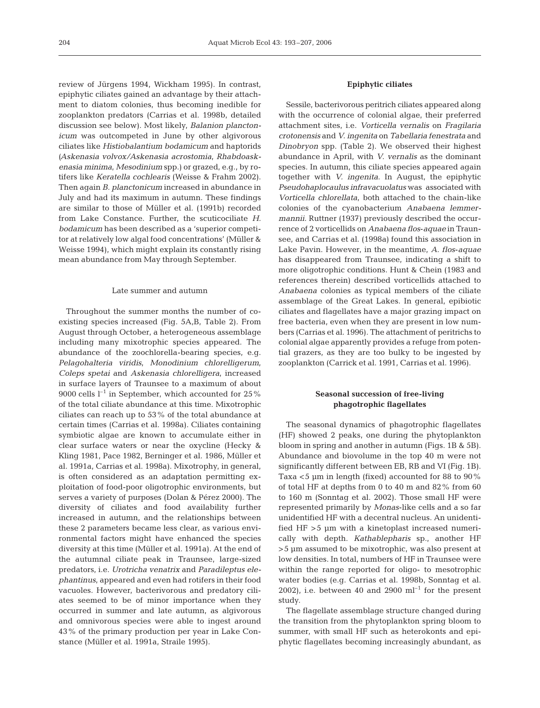review of Jürgens 1994, Wickham 1995). In contrast, epiphytic ciliates gained an advantage by their attachment to diatom colonies, thus becoming inedible for zooplankton predators (Carrias et al. 1998b, detailed discussion see below). Most likely, *Balanion planctonicum* was outcompeted in June by other algivorous ciliates like *Histiobalantium bodamicum* and haptorids *(Askenasia volvox/Askenasia acrostomia*, *Rhabdoaskenasia minima*, *Mesodinium* spp.) or grazed, e.g., by rotifers like *Keratella cochlearis* (Weisse & Frahm 2002). Then again *B. planctonicum* increased in abundance in July and had its maximum in autumn. These findings are similar to those of Müller et al. (1991b) recorded from Lake Constance. Further, the scuticociliate *H. bodamicum* has been described as a 'superior competitor at relatively low algal food concentrations' (Müller & Weisse 1994), which might explain its constantly rising mean abundance from May through September.

## Late summer and autumn

Throughout the summer months the number of coexisting species increased (Fig. 5A,B, Table 2). From August through October, a heterogeneous assemblage including many mixotrophic species appeared. The abundance of the zoochlorella-bearing species, e.g. *Pelagohalteria viridis*, *Monodinium chlorelligerum*, *Coleps spetai* and *Askenasia chlorelligera,* increased in surface layers of Traunsee to a maximum of about 9000 cells  $l^{-1}$  in September, which accounted for 25% of the total ciliate abundance at this time. Mixotrophic ciliates can reach up to 53% of the total abundance at certain times (Carrias et al. 1998a). Ciliates containing symbiotic algae are known to accumulate either in clear surface waters or near the oxycline (Hecky & Kling 1981, Pace 1982, Berninger et al. 1986, Müller et al. 1991a, Carrias et al. 1998a). Mixotrophy, in general, is often considered as an adaptation permitting exploitation of food-poor oligotrophic environments, but serves a variety of purposes (Dolan & Pérez 2000). The diversity of ciliates and food availability further increased in autumn, and the relationships between these 2 parameters became less clear, as various environmental factors might have enhanced the species diversity at this time (Müller et al. 1991a). At the end of the autumnal ciliate peak in Traunsee, large-sized predators, i.e. *Urotricha venatrix* and *Paradileptus elephantinus*, appeared and even had rotifers in their food vacuoles. However, bacterivorous and predatory ciliates seemed to be of minor importance when they occurred in summer and late autumn, as algivorous and omnivorous species were able to ingest around 43% of the primary production per year in Lake Constance (Müller et al. 1991a, Straile 1995).

# **Epiphytic ciliates**

Sessile, bacterivorous peritrich ciliates appeared along with the occurrence of colonial algae, their preferred attachment sites, i.e. *Vorticella vernalis* on *Fragilaria crotonensis* and *V. ingenita* on *Tabellaria fenestrata* and *Dinobryon* spp. (Table 2). We observed their highest abundance in April, with *V. vernalis* as the dominant species. In autumn, this ciliate species appeared again together with *V. ingenita*. In August, the epiphytic *Pseudohaplocaulus infravacuolatus* was associated with *Vorticella chlorellata*, both attached to the chain-like colonies of the cyanobacterium *Anabaena lemmermannii*. Ruttner (1937) previously described the occurrence of 2 vorticellids on *Anabaena flos*-*aquae* in Traunsee, and Carrias et al. (1998a) found this association in Lake Pavin. However, in the meantime, *A. flos*-*aquae* has disappeared from Traunsee, indicating a shift to more oligotrophic conditions. Hunt & Chein (1983 and references therein) described vorticellids attached to *Anabaena* colonies as typical members of the ciliate assemblage of the Great Lakes. In general, epibiotic ciliates and flagellates have a major grazing impact on free bacteria, even when they are present in low numbers (Carrias et al. 1996). The attachment of peritrichs to colonial algae apparently provides a refuge from potential grazers, as they are too bulky to be ingested by zooplankton (Carrick et al. 1991, Carrias et al. 1996).

# **Seasonal succession of free-living phagotrophic flagellates**

The seasonal dynamics of phagotrophic flagellates (HF) showed 2 peaks, one during the phytoplankton bloom in spring and another in autumn (Figs. 1B & 5B). Abundance and biovolume in the top 40 m were not significantly different between EB, RB and VI (Fig. 1B). Taxa <5 µm in length (fixed) accounted for 88 to 90% of total HF at depths from 0 to 40 m and 82% from 60 to 160 m (Sonntag et al. 2002). Those small HF were represented primarily by *Monas*-like cells and a so far unidentified HF with a decentral nucleus. An unidentified HF >5 µm with a kinetoplast increased numerically with depth. *Kathablepharis* sp., another HF >5 µm assumed to be mixotrophic, was also present at low densities. In total, numbers of HF in Traunsee were within the range reported for oligo- to mesotrophic water bodies (e.g. Carrias et al. 1998b, Sonntag et al. 2002), i.e. between 40 and 2900  $\text{ml}^{-1}$  for the present study.

The flagellate assemblage structure changed during the transition from the phytoplankton spring bloom to summer, with small HF such as heterokonts and epiphytic flagellates becoming increasingly abundant, as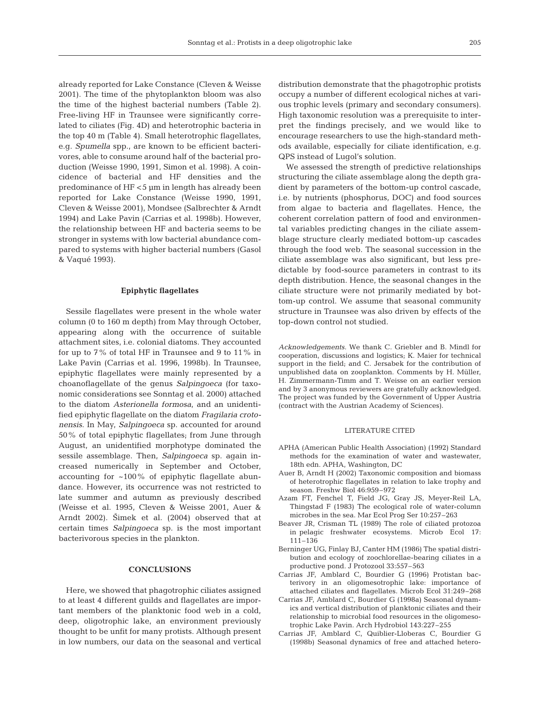already reported for Lake Constance (Cleven & Weisse 2001). The time of the phytoplankton bloom was also the time of the highest bacterial numbers (Table 2). Free-living HF in Traunsee were significantly correlated to ciliates (Fig. 4D) and heterotrophic bacteria in the top 40 m (Table 4). Small heterotrophic flagellates, e.g. *Spumella* spp., are known to be efficient bacterivores, able to consume around half of the bacterial production (Weisse 1990, 1991, Simon et al. 1998). A coincidence of bacterial and HF densities and the predominance of HF <5 µm in length has already been reported for Lake Constance (Weisse 1990, 1991, Cleven & Weisse 2001), Mondsee (Salbrechter & Arndt 1994) and Lake Pavin (Carrias et al. 1998b). However, the relationship between HF and bacteria seems to be stronger in systems with low bacterial abundance compared to systems with higher bacterial numbers (Gasol & Vaqué 1993).

#### **Epiphytic flagellates**

Sessile flagellates were present in the whole water column (0 to 160 m depth) from May through October, appearing along with the occurrence of suitable attachment sites, i.e. colonial diatoms. They accounted for up to 7% of total HF in Traunsee and 9 to 11% in Lake Pavin (Carrias et al. 1996, 1998b). In Traunsee, epiphytic flagellates were mainly represented by a choanoflagellate of the genus *Salpingoeca* (for taxonomic considerations see Sonntag et al. 2000) attached to the diatom *Asterionella formosa*, and an unidentified epiphytic flagellate on the diatom *Fragilaria crotonensis*. In May, *Salpingoeca* sp. accounted for around 50% of total epiphytic flagellates; from June through August, an unidentified morphotype dominated the sessile assemblage. Then, *Salpingoeca* sp. again increased numerically in September and October, accounting for ~100% of epiphytic flagellate abundance. However, its occurrence was not restricted to late summer and autumn as previously described (Weisse et al. 1995, Cleven & Weisse 2001, Auer & Arndt 2002). Simek et al.  $(2004)$  observed that at certain times *Salpingoeca* sp. is the most important bacterivorous species in the plankton.

# **CONCLUSIONS**

Here, we showed that phagotrophic ciliates assigned to at least 4 different guilds and flagellates are important members of the planktonic food web in a cold, deep, oligotrophic lake, an environment previously thought to be unfit for many protists. Although present in low numbers, our data on the seasonal and vertical

distribution demonstrate that the phagotrophic protists occupy a number of different ecological niches at various trophic levels (primary and secondary consumers). High taxonomic resolution was a prerequisite to interpret the findings precisely, and we would like to encourage researchers to use the high-standard methods available, especially for ciliate identification, e.g. QPS instead of Lugol's solution.

We assessed the strength of predictive relationships structuring the ciliate assemblage along the depth gradient by parameters of the bottom-up control cascade, i.e. by nutrients (phosphorus, DOC) and food sources from algae to bacteria and flagellates. Hence, the coherent correlation pattern of food and environmental variables predicting changes in the ciliate assemblage structure clearly mediated bottom-up cascades through the food web. The seasonal succession in the ciliate assemblage was also significant, but less predictable by food-source parameters in contrast to its depth distribution. Hence, the seasonal changes in the ciliate structure were not primarily mediated by bottom-up control. We assume that seasonal community structure in Traunsee was also driven by effects of the top-down control not studied.

*Acknowledgements.* We thank C. Griebler and B. Mindl for cooperation, discussions and logistics; K. Maier for technical support in the field; and C. Jersabek for the contribution of unpublished data on zooplankton. Comments by H. Müller, H. Zimmermann-Timm and T. Weisse on an earlier version and by 3 anonymous reviewers are gratefully acknowledged. The project was funded by the Government of Upper Austria (contract with the Austrian Academy of Sciences).

## LITERATURE CITED

- APHA (American Public Health Association) (1992) Standard methods for the examination of water and wastewater, 18th edn. APHA, Washington, DC
- Auer B, Arndt H (2002) Taxonomic composition and biomass of heterotrophic flagellates in relation to lake trophy and season. Freshw Biol 46:959–972
- Azam FT, Fenchel T, Field JG, Gray JS, Meyer-Reil LA, Thingstad F (1983) The ecological role of water-column microbes in the sea. Mar Ecol Prog Ser 10:257–263
- Beaver JR, Crisman TL (1989) The role of ciliated protozoa in pelagic freshwater ecosystems. Microb Ecol 17: 111–136
- Berninger UG, Finlay BJ, Canter HM (1986) The spatial distribution and ecology of zoochlorellae-bearing ciliates in a productive pond. J Protozool 33:557–563
- Carrias JF, Amblard C, Bourdier G (1996) Protistan bacterivory in an oligomesotrophic lake: importance of attached ciliates and flagellates. Microb Ecol 31:249–268
- Carrias JF, Amblard C, Bourdier G (1998a) Seasonal dynamics and vertical distribution of planktonic ciliates and their relationship to microbial food resources in the oligomesotrophic Lake Pavin. Arch Hydrobiol 143:227–255
- Carrias JF, Amblard C, Quiblier-Lloberas C, Bourdier G (1998b) Seasonal dynamics of free and attached hetero-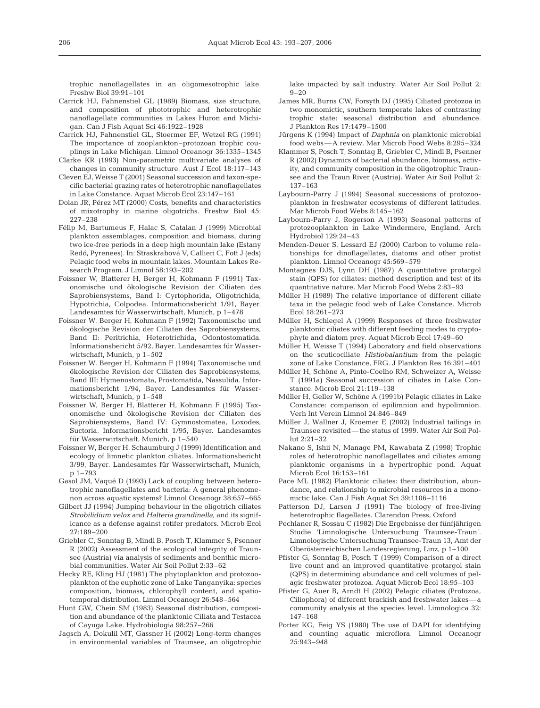trophic nanoflagellates in an oligomesotrophic lake. Freshw Biol 39:91–101

- Carrick HJ, Fahnenstiel GL (1989) Biomass, size structure, and composition of phototrophic and heterotrophic nanoflagellate communities in Lakes Huron and Michigan. Can J Fish Aquat Sci 46:1922–1928
- Carrick HJ, Fahnenstiel GL, Stoermer EF, Wetzel RG (1991) The importance of zooplankton–protozoan trophic couplings in Lake Michigan. Limnol Oceanogr 36:1335–1345
- Clarke KR (1993) Non-parametric multivariate analyses of changes in community structure. Aust J Ecol 18:117–143
- Cleven EJ, Weisse T (2001) Seasonal succession and taxon-specific bacterial grazing rates of heterotrophic nanoflagellates in Lake Constance. Aquat Microb Ecol 23:147–161
- Dolan JR, Pérez MT (2000) Costs, benefits and characteristics of mixotrophy in marine oligotrichs. Freshw Biol 45: 227–238
- Félip M, Bartumeus F, Halac S, Catalan J (1999) Microbial plankton assemblages, composition and biomass, during two ice-free periods in a deep high mountain lake (Estany Redó, Pyrenees). In: Straskrabová V, Callieri C, Fott J (eds) Pelagic food webs in mountain lakes. Mountain Lakes Research Program. J Limnol 58:193–202
- Foissner W, Blatterer H, Berger H, Kohmann F (1991) Taxonomische und ökologische Revision der Ciliaten des Saprobiensystems, Band I: Cyrtophorida, Oligotrichida, Hypotrichia, Colpodea. Informationsbericht 1/91, Bayer. Landesamtes für Wasserwirtschaft, Munich, p 1–478
- Foissner W, Berger H, Kohmann F (1992) Taxonomische und ökologische Revision der Ciliaten des Saprobiensystems, Band II: Peritrichia, Heterotrichida, Odontostomatida. Informationsbericht 5/92, Bayer. Landesamtes für Wasserwirtschaft, Munich, p 1–502
- Foissner W, Berger H, Kohmann F (1994) Taxonomische und ökologische Revision der Ciliaten des Saprobiensystems, Band III: Hymenostomata, Prostomatida, Nassulida. Informationsbericht 1/94, Bayer. Landesamtes für Wasserwirtschaft, Munich, p 1–548
- Foissner W, Berger H, Blatterer H, Kohmann F (1995) Taxonomische und ökologische Revision der Ciliaten des Saprobiensystems, Band IV: Gymnostomatea, Loxodes, Suctoria. Informationsbericht 1/95, Bayer. Landesamtes für Wasserwirtschaft, Munich, p 1–540
- Foissner W, Berger H, Schaumburg J (1999) Identification and ecology of limnetic plankton ciliates. Informationsbericht 3/99, Bayer. Landesamtes für Wasserwirtschaft, Munich, p 1–793
- Gasol JM, Vaqué D (1993) Lack of coupling between heterotrophic nanoflagellates and bacteria: A general phenomenon across aquatic systems? Limnol Oceanogr 38:657–665
- Gilbert JJ (1994) Jumping behaviour in the oligotrich ciliates *Strobilidium velox* and *Halteria grandinella*, and its significance as a defense against rotifer predators. Microb Ecol 27:189–200
- Griebler C, Sonntag B, Mindl B, Posch T, Klammer S, Psenner R (2002) Assessment of the ecological integrity of Traunsee (Austria) via analysis of sediments and benthic microbial communities. Water Air Soil Pollut 2:33–62
- Hecky RE, Kling HJ (1981) The phytoplankton and protozooplankton of the euphotic zone of Lake Tanganyika: species composition, biomass, chlorophyll content, and spatiotemporal distribution. Limnol Oceanogr 26:548–564
- Hunt GW, Chein SM (1983) Seasonal distribution, composition and abundance of the planktonic Ciliata and Testacea of Cayuga Lake. Hydrobiologia 98:257–266
- Jagsch A, Dokulil MT, Gassner H (2002) Long-term changes in environmental variables of Traunsee, an oligotrophic

lake impacted by salt industry. Water Air Soil Pollut 2:  $9 - 20$ 

- James MR, Burns CW, Forsyth DJ (1995) Ciliated protozoa in two monomictic, southern temperate lakes of contrasting trophic state: seasonal distribution and abundance. J Plankton Res 17:1479–1500
- Jürgens K (1994) Impact of *Daphnia* on planktonic microbial food webs—A review. Mar Microb Food Webs 8:295–324
- Klammer S, Posch T, Sonntag B, Griebler C, Mindl B, Psenner R (2002) Dynamics of bacterial abundance, biomass, activity, and community composition in the oligotrophic Traunsee and the Traun River (Austria). Water Air Soil Pollut 2: 137–163
- Laybourn-Parry J (1994) Seasonal successions of protozooplankton in freshwater ecosystems of different latitudes. Mar Microb Food Webs 8:145–162
- Laybourn-Parry J, Rogerson A (1993) Seasonal patterns of protozooplankton in Lake Windermere, England. Arch Hydrobiol 129:24–43
- Menden-Deuer S, Lessard EJ (2000) Carbon to volume relationships for dinoflagellates, diatoms and other protist plankton. Limnol Oceanogr 45:569–579
- Montagnes DJS, Lynn DH (1987) A quantitative protargol stain (QPS) for ciliates: method description and test of its quantitative nature. Mar Microb Food Webs 2:83–93
- Müller H (1989) The relative importance of different ciliate taxa in the pelagic food web of Lake Constance. Microb Ecol 18:261–273
- Müller H, Schlegel A (1999) Responses of three freshwater planktonic ciliates with different feeding modes to cryptophyte and diatom prey. Aquat Microb Ecol 17:49–60
- Müller H, Weisse T (1994) Laboratory and field observations on the scuticociliate *Histiobalantium* from the pelagic zone of Lake Constance, FRG. J Plankton Res 16:391–401
- Müller H, Schöne A, Pinto-Coelho RM, Schweizer A, Weisse T (1991a) Seasonal succession of ciliates in Lake Constance. Microb Ecol 21:119–138
- Müller H, Geller W, Schöne A (1991b) Pelagic ciliates in Lake Constance: comparison of epilimnion and hypolimnion. Verh Int Verein Limnol 24:846–849
- Müller J, Wallner J, Kroemer E (2002) Industrial tailings in Traunsee revisited—the status of 1999. Water Air Soil Pollut 2:21–32
- Nakano S, Ishii N, Manage PM, Kawabata Z (1998) Trophic roles of heterotrophic nanoflagellates and ciliates among planktonic organisms in a hypertrophic pond. Aquat Microb Ecol 16:153–161
- Pace ML (1982) Planktonic ciliates: their distribution, abundance, and relationship to microbial resources in a monomictic lake. Can J Fish Aquat Sci 39:1106–1116
- Patterson DJ, Larsen J (1991) The biology of free-living heterotrophic flagellates. Clarendon Press, Oxford
- Pechlaner R, Sossau C (1982) Die Ergebnisse der fünfjährigen Studie 'Limnologische Untersuchung Traunsee-Traun'. Limnologische Untersuchung Traunsee-Traun 13, Amt der Oberösterreichischen Landesregierung, Linz, p 1–100
- Pfister G, Sonntag B, Posch T (1999) Comparison of a direct live count and an improved quantitative protargol stain (QPS) in determining abundance and cell volumes of pelagic freshwater protozoa. Aquat Microb Ecol 18:95–103
- Pfister G, Auer B, Arndt H (2002) Pelagic ciliates (Protozoa, Ciliophora) of different brackish and freshwater lakes—a community analysis at the species level. Limnologica 32: 147–168
- Porter KG, Feig YS (1980) The use of DAPI for identifying and counting aquatic microflora. Limnol Oceanogr 25:943–948